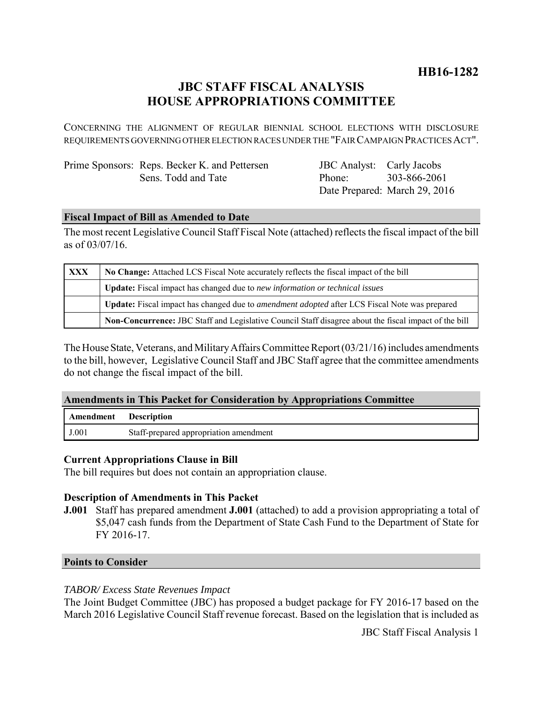**HB16-1282**

# **JBC STAFF FISCAL ANALYSIS HOUSE APPROPRIATIONS COMMITTEE**

CONCERNING THE ALIGNMENT OF REGULAR BIENNIAL SCHOOL ELECTIONS WITH DISCLOSURE REQUIREMENTS GOVERNING OTHER ELECTION RACES UNDER THE "FAIR CAMPAIGN PRACTICES ACT".

Prime Sponsors: Reps. Becker K. and Pettersen Sens. Todd and Tate

JBC Analyst: Carly Jacobs Phone: Date Prepared: March 29, 2016 303-866-2061

## **Fiscal Impact of Bill as Amended to Date**

The most recent Legislative Council Staff Fiscal Note (attached) reflects the fiscal impact of the bill as of 03/07/16.

| <b>XXX</b> | No Change: Attached LCS Fiscal Note accurately reflects the fiscal impact of the bill                 |
|------------|-------------------------------------------------------------------------------------------------------|
|            | Update: Fiscal impact has changed due to new information or technical issues                          |
|            | Update: Fiscal impact has changed due to <i>amendment adopted</i> after LCS Fiscal Note was prepared  |
|            | Non-Concurrence: JBC Staff and Legislative Council Staff disagree about the fiscal impact of the bill |

The House State, Veterans, and Military Affairs Committee Report (03/21/16) includes amendments to the bill, however, Legislative Council Staff and JBC Staff agree that the committee amendments do not change the fiscal impact of the bill.

### **Amendments in This Packet for Consideration by Appropriations Committee**

| Amendment | <b>Description</b>                     |
|-----------|----------------------------------------|
| J.001     | Staff-prepared appropriation amendment |

### **Current Appropriations Clause in Bill**

The bill requires but does not contain an appropriation clause.

### **Description of Amendments in This Packet**

**J.001** Staff has prepared amendment **J.001** (attached) to add a provision appropriating a total of \$5,047 cash funds from the Department of State Cash Fund to the Department of State for FY 2016-17.

### **Points to Consider**

### *TABOR/ Excess State Revenues Impact*

The Joint Budget Committee (JBC) has proposed a budget package for FY 2016-17 based on the March 2016 Legislative Council Staff revenue forecast. Based on the legislation that is included as